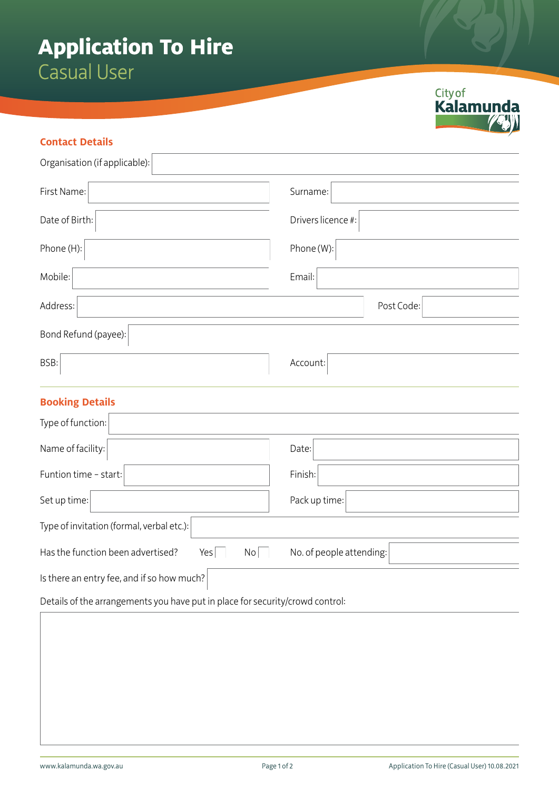## **Application To Hire**  Casual User

## **Contact Details**

| Organisation (if applicable): |                    |
|-------------------------------|--------------------|
| First Name:                   | Surname:           |
| Date of Birth:                | Drivers licence #: |
| Phone (H):                    | Phone (W):         |
| Mobile:                       | Email:             |
| Address:                      | Post Code:         |
| Bond Refund (payee):          |                    |
| BSB:                          | Account:           |
| <b>Booking Details</b>        |                    |
| Type of function:             |                    |
| Name of facility:             | Date:              |

Funtion time – start: Finish: Finish: Finish: Finish: Finish: Finish: Finish: Finish: Finish: Finish: Finish: Finish: Finish: Finish: Finish: Finish: Finish: Finish: Finish: Finish: Finish: Finish: Finish: Finish: Finish: Set up time: Pack up time: Type of invitation (formal, verbal etc.): Has the function been advertised? Yes  $\Box$  No  $\Box$  No. of people attending: Is there an entry fee, and if so how much?

Details of the arrangements you have put in place for security/crowd control: